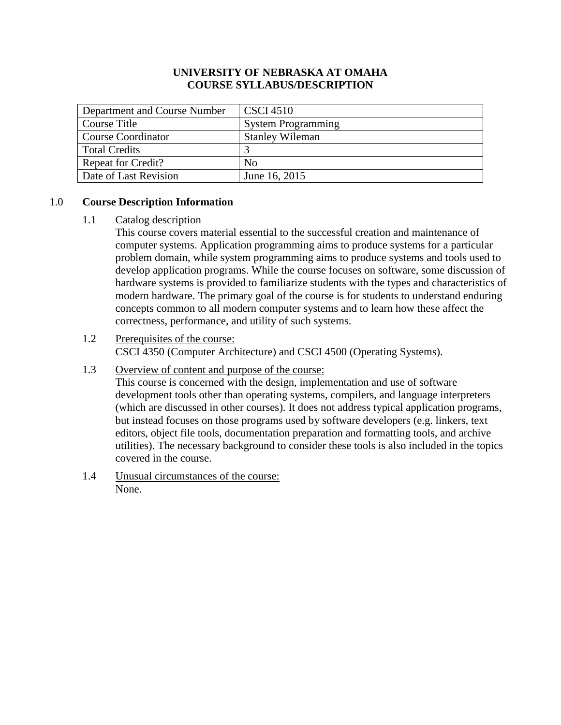### **UNIVERSITY OF NEBRASKA AT OMAHA COURSE SYLLABUS/DESCRIPTION**

| Department and Course Number | <b>CSCI 4510</b>          |  |
|------------------------------|---------------------------|--|
| Course Title                 | <b>System Programming</b> |  |
| Course Coordinator           | <b>Stanley Wileman</b>    |  |
| Total Credits                |                           |  |
| <b>Repeat for Credit?</b>    | No                        |  |
| Date of Last Revision        | June 16, 2015             |  |

#### 1.0 **Course Description Information**

#### 1.1 Catalog description

This course covers material essential to the successful creation and maintenance of computer systems. Application programming aims to produce systems for a particular problem domain, while system programming aims to produce systems and tools used to develop application programs. While the course focuses on software, some discussion of hardware systems is provided to familiarize students with the types and characteristics of modern hardware. The primary goal of the course is for students to understand enduring concepts common to all modern computer systems and to learn how these affect the correctness, performance, and utility of such systems.

### 1.2 Prerequisites of the course: CSCI 4350 (Computer Architecture) and CSCI 4500 (Operating Systems).

#### 1.3 Overview of content and purpose of the course:

This course is concerned with the design, implementation and use of software development tools other than operating systems, compilers, and language interpreters (which are discussed in other courses). It does not address typical application programs, but instead focuses on those programs used by software developers (e.g. linkers, text editors, object file tools, documentation preparation and formatting tools, and archive utilities). The necessary background to consider these tools is also included in the topics covered in the course.

1.4 Unusual circumstances of the course: None.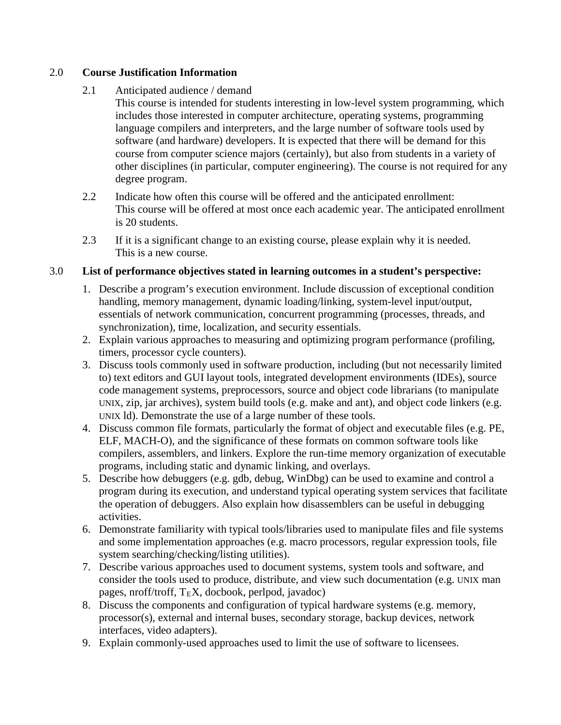# 2.0 **Course Justification Information**

# 2.1 Anticipated audience / demand

This course is intended for students interesting in low-level system programming, which includes those interested in computer architecture, operating systems, programming language compilers and interpreters, and the large number of software tools used by software (and hardware) developers. It is expected that there will be demand for this course from computer science majors (certainly), but also from students in a variety of other disciplines (in particular, computer engineering). The course is not required for any degree program.

- 2.2 Indicate how often this course will be offered and the anticipated enrollment: This course will be offered at most once each academic year. The anticipated enrollment is 20 students.
- 2.3 If it is a significant change to an existing course, please explain why it is needed. This is a new course.

# 3.0 **List of performance objectives stated in learning outcomes in a student's perspective:**

- 1. Describe a program's execution environment. Include discussion of exceptional condition handling, memory management, dynamic loading/linking, system-level input/output, essentials of network communication, concurrent programming (processes, threads, and synchronization), time, localization, and security essentials.
- 2. Explain various approaches to measuring and optimizing program performance (profiling, timers, processor cycle counters).
- 3. Discuss tools commonly used in software production, including (but not necessarily limited to) text editors and GUI layout tools, integrated development environments (IDEs), source code management systems, preprocessors, source and object code librarians (to manipulate UNIX, zip, jar archives), system build tools (e.g. make and ant), and object code linkers (e.g. UNIX ld). Demonstrate the use of a large number of these tools.
- 4. Discuss common file formats, particularly the format of object and executable files (e.g. PE, ELF, MACH-O), and the significance of these formats on common software tools like compilers, assemblers, and linkers. Explore the run-time memory organization of executable programs, including static and dynamic linking, and overlays.
- 5. Describe how debuggers (e.g. gdb, debug, WinDbg) can be used to examine and control a program during its execution, and understand typical operating system services that facilitate the operation of debuggers. Also explain how disassemblers can be useful in debugging activities.
- 6. Demonstrate familiarity with typical tools/libraries used to manipulate files and file systems and some implementation approaches (e.g. macro processors, regular expression tools, file system searching/checking/listing utilities).
- 7. Describe various approaches used to document systems, system tools and software, and consider the tools used to produce, distribute, and view such documentation (e.g. UNIX man pages, nroff/troff,  $T_{E}X$ , docbook, perlpod, javadoc)
- 8. Discuss the components and configuration of typical hardware systems (e.g. memory, processor(s), external and internal buses, secondary storage, backup devices, network interfaces, video adapters).
- 9. Explain commonly-used approaches used to limit the use of software to licensees.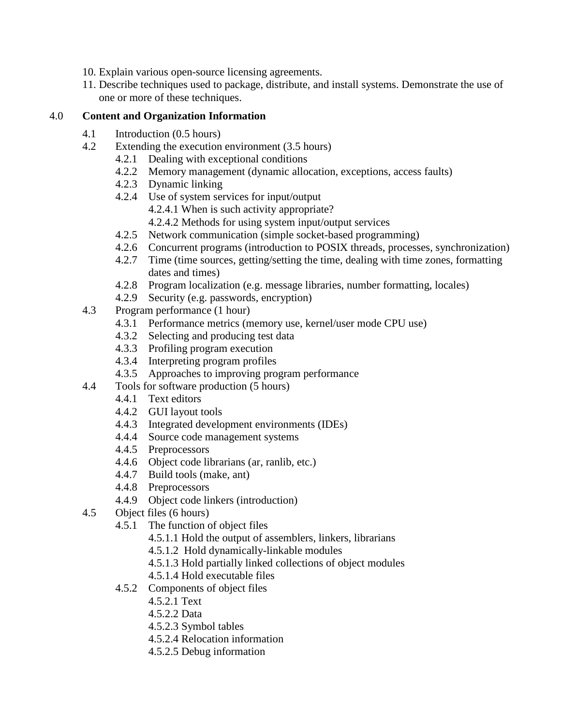- 10. Explain various open-source licensing agreements.
- 11. Describe techniques used to package, distribute, and install systems. Demonstrate the use of one or more of these techniques.

# 4.0 **Content and Organization Information**

- 4.1 Introduction (0.5 hours)
- 4.2 Extending the execution environment (3.5 hours)
	- 4.2.1 Dealing with exceptional conditions
	- 4.2.2 Memory management (dynamic allocation, exceptions, access faults)
	- 4.2.3 Dynamic linking
	- 4.2.4 Use of system services for input/output
		- 4.2.4.1 When is such activity appropriate?
		- 4.2.4.2 Methods for using system input/output services
	- 4.2.5 Network communication (simple socket-based programming)
	- 4.2.6 Concurrent programs (introduction to POSIX threads, processes, synchronization)
	- 4.2.7 Time (time sources, getting/setting the time, dealing with time zones, formatting dates and times)
	- 4.2.8 Program localization (e.g. message libraries, number formatting, locales)
	- 4.2.9 Security (e.g. passwords, encryption)
- 4.3 Program performance (1 hour)
	- 4.3.1 Performance metrics (memory use, kernel/user mode CPU use)
	- 4.3.2 Selecting and producing test data
	- 4.3.3 Profiling program execution
	- 4.3.4 Interpreting program profiles
	- 4.3.5 Approaches to improving program performance
- 4.4 Tools for software production (5 hours)
	- 4.4.1 Text editors
	- 4.4.2 GUI layout tools
	- 4.4.3 Integrated development environments (IDEs)
	- 4.4.4 Source code management systems
	- 4.4.5 Preprocessors
	- 4.4.6 Object code librarians (ar, ranlib, etc.)
	- 4.4.7 Build tools (make, ant)
	- 4.4.8 Preprocessors
	- 4.4.9 Object code linkers (introduction)
- 4.5 Object files (6 hours)
	- 4.5.1 The function of object files
		- 4.5.1.1 Hold the output of assemblers, linkers, librarians
		- 4.5.1.2 Hold dynamically-linkable modules
		- 4.5.1.3 Hold partially linked collections of object modules
		- 4.5.1.4 Hold executable files
	- 4.5.2 Components of object files
		- 4.5.2.1 Text
		- 4.5.2.2 Data
		- 4.5.2.3 Symbol tables
		- 4.5.2.4 Relocation information
		- 4.5.2.5 Debug information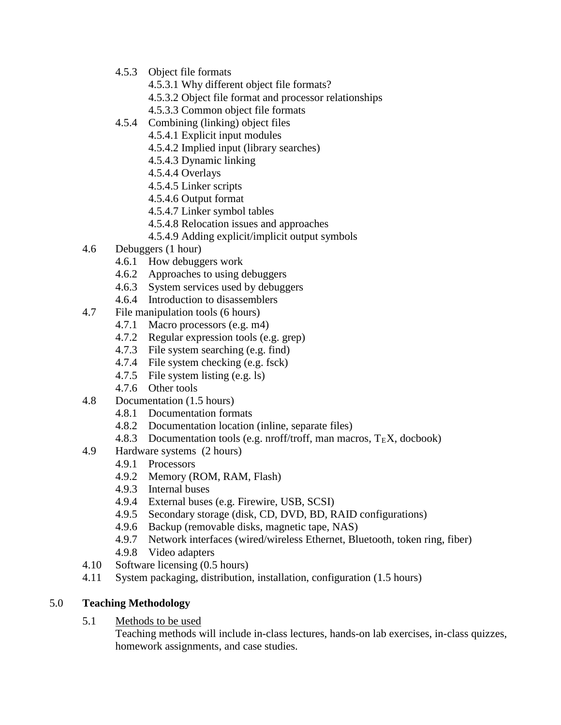- 4.5.3 Object file formats
	- 4.5.3.1 Why different object file formats?
	- 4.5.3.2 Object file format and processor relationships
	- 4.5.3.3 Common object file formats
- 4.5.4 Combining (linking) object files
	- 4.5.4.1 Explicit input modules
	- 4.5.4.2 Implied input (library searches)
	- 4.5.4.3 Dynamic linking
	- 4.5.4.4 Overlays
	- 4.5.4.5 Linker scripts
	- 4.5.4.6 Output format
	- 4.5.4.7 Linker symbol tables
	- 4.5.4.8 Relocation issues and approaches
	- 4.5.4.9 Adding explicit/implicit output symbols
- 4.6 Debuggers (1 hour)
	- 4.6.1 How debuggers work
	- 4.6.2 Approaches to using debuggers
	- 4.6.3 System services used by debuggers
	- 4.6.4 Introduction to disassemblers
- 4.7 File manipulation tools (6 hours)
	- 4.7.1 Macro processors (e.g. m4)
	- 4.7.2 Regular expression tools (e.g. grep)
	- 4.7.3 File system searching (e.g. find)
	- 4.7.4 File system checking (e.g. fsck)
	- 4.7.5 File system listing (e.g. ls)
	- 4.7.6 Other tools
- 4.8 Documentation (1.5 hours)
	- 4.8.1 Documentation formats
	- 4.8.2 Documentation location (inline, separate files)
	- 4.8.3 Documentation tools (e.g. nroff/troff, man macros,  $T_{E}X$ , docbook)
- 4.9 Hardware systems (2 hours)
	- 4.9.1 Processors
	- 4.9.2 Memory (ROM, RAM, Flash)
	- 4.9.3 Internal buses
	- 4.9.4 External buses (e.g. Firewire, USB, SCSI)
	- 4.9.5 Secondary storage (disk, CD, DVD, BD, RAID configurations)
	- 4.9.6 Backup (removable disks, magnetic tape, NAS)
	- 4.9.7 Network interfaces (wired/wireless Ethernet, Bluetooth, token ring, fiber)
	- 4.9.8 Video adapters
- 4.10 Software licensing (0.5 hours)
- 4.11 System packaging, distribution, installation, configuration (1.5 hours)

# 5.0 **Teaching Methodology**

- 5.1 Methods to be used
	- Teaching methods will include in-class lectures, hands-on lab exercises, in-class quizzes, homework assignments, and case studies.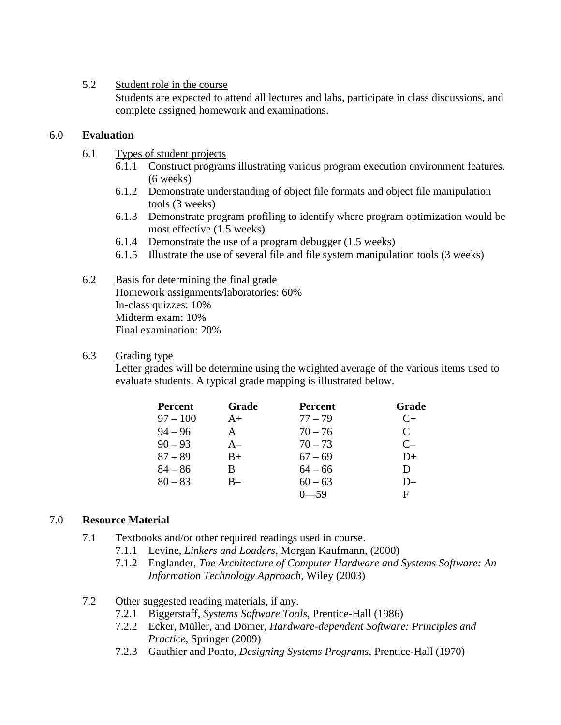### 5.2 Student role in the course

Students are expected to attend all lectures and labs, participate in class discussions, and complete assigned homework and examinations.

## 6.0 **Evaluation**

- 6.1 Types of student projects
	- 6.1.1 Construct programs illustrating various program execution environment features. (6 weeks)
	- 6.1.2 Demonstrate understanding of object file formats and object file manipulation tools (3 weeks)
	- 6.1.3 Demonstrate program profiling to identify where program optimization would be most effective (1.5 weeks)
	- 6.1.4 Demonstrate the use of a program debugger (1.5 weeks)
	- 6.1.5 Illustrate the use of several file and file system manipulation tools (3 weeks)

#### 6.2 Basis for determining the final grade Homework assignments/laboratories: 60% In-class quizzes: 10% Midterm exam: 10% Final examination: 20%

### 6.3 Grading type

Letter grades will be determine using the weighted average of the various items used to evaluate students. A typical grade mapping is illustrated below.

| <b>Percent</b> | Grade        | <b>Percent</b> | Grade                       |
|----------------|--------------|----------------|-----------------------------|
| $97 - 100$     | $A+$         | $77 - 79$      | $C+$                        |
| $94 - 96$      | $\mathbf{A}$ | $70 - 76$      | $\mathcal{C}_{\mathcal{C}}$ |
| $90 - 93$      | $A-$         | $70 - 73$      | $C-$                        |
| $87 - 89$      | $B+$         | $67 - 69$      | D+                          |
| $84 - 86$      | B            | $64 - 66$      | D                           |
| $80 - 83$      | B-           | $60 - 63$      | $D-$                        |
|                |              | —59            | F                           |

# 7.0 **Resource Material**

- 7.1 Textbooks and/or other required readings used in course.
	- 7.1.1 Levine, *Linkers and Loaders*, Morgan Kaufmann, (2000)
	- 7.1.2 Englander, *The Architecture of Computer Hardware and Systems Software: An Information Technology Approach*, Wiley (2003)
- 7.2 Other suggested reading materials, if any.
	- 7.2.1 Biggerstaff, *Systems Software Tools*, Prentice-Hall (1986)
	- 7.2.2 Ecker, Müller, and Dömer, *Hardware-dependent Software: Principles and Practice*, Springer (2009)
	- 7.2.3 Gauthier and Ponto, *Designing Systems Programs*, Prentice-Hall (1970)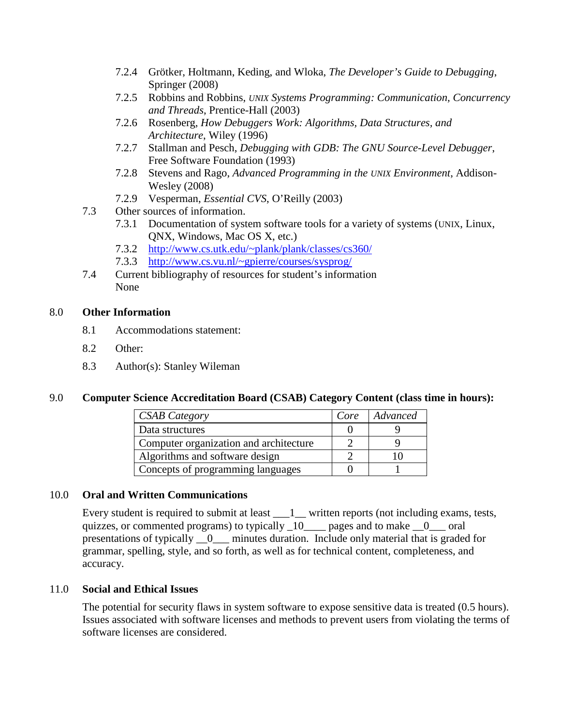- 7.2.4 Grötker, Holtmann, Keding, and Wloka, *The Developer's Guide to Debugging*, Springer (2008)
- 7.2.5 Robbins and Robbins, *UNIX Systems Programming: Communication, Concurrency and Threads*, Prentice-Hall (2003)
- 7.2.6 Rosenberg, *How Debuggers Work: Algorithms, Data Structures, and Architecture*, Wiley (1996)
- 7.2.7 Stallman and Pesch, *Debugging with GDB: The GNU Source-Level Debugger*, Free Software Foundation (1993)
- 7.2.8 Stevens and Rago, *Advanced Programming in the UNIX Environment*, Addison-Wesley (2008)
- 7.2.9 Vesperman, *Essential CVS*, O'Reilly (2003)
- 7.3 Other sources of information.
	- 7.3.1 Documentation of system software tools for a variety of systems (UNIX, Linux, QNX, Windows, Mac OS X, etc.)
	- 7.3.2 [http://www.cs.utk.edu/~plank/plank/classes/cs360/](http://www.cs.utk.edu/%7Eplank/plank/classes/cs360/)
	- 7.3.3 [http://www.cs.vu.nl/~gpierre/courses/sysprog/](http://www.cs.vu.nl/%7Egpierre/courses/sysprog/)
- 7.4 Current bibliography of resources for student's information None

### 8.0 **Other Information**

- 8.1 Accommodations statement:
- 8.2 Other:
- 8.3 Author(s): Stanley Wileman

# 9.0 **Computer Science Accreditation Board (CSAB) Category Content (class time in hours):**

| <b>CSAB Category</b>                   | Core | Advanced |
|----------------------------------------|------|----------|
| Data structures                        |      |          |
| Computer organization and architecture |      |          |
| Algorithms and software design         |      |          |
| Concepts of programming languages      |      |          |

#### 10.0 **Oral and Written Communications**

Every student is required to submit at least  $\_\_1$  written reports (not including exams, tests, quizzes, or commented programs) to typically  $\frac{10}{\text{mges}}$  pages and to make  $\frac{0}{\text{ges}}$  oral presentations of typically \_\_0\_\_\_ minutes duration. Include only material that is graded for grammar, spelling, style, and so forth, as well as for technical content, completeness, and accuracy.

# 11.0 **Social and Ethical Issues**

The potential for security flaws in system software to expose sensitive data is treated (0.5 hours). Issues associated with software licenses and methods to prevent users from violating the terms of software licenses are considered.